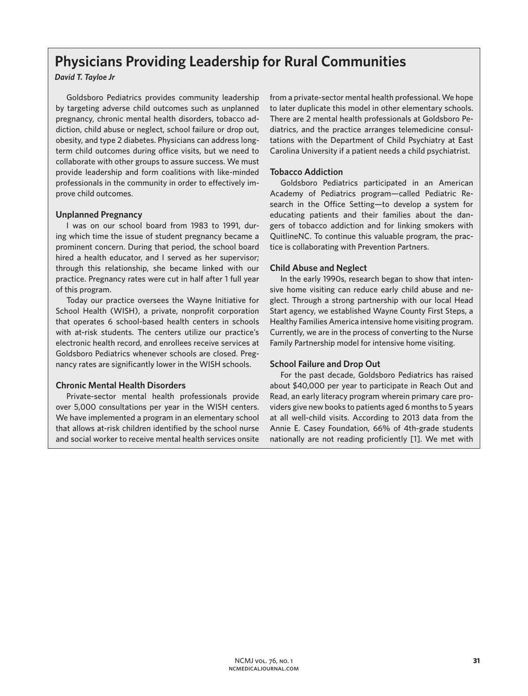# **Physicians Providing Leadership for Rural Communities**

## *David T. Tayloe Jr*

Goldsboro Pediatrics provides community leadership by targeting adverse child outcomes such as unplanned pregnancy, chronic mental health disorders, tobacco addiction, child abuse or neglect, school failure or drop out, obesity, and type 2 diabetes. Physicians can address longterm child outcomes during office visits, but we need to collaborate with other groups to assure success. We must provide leadership and form coalitions with like-minded professionals in the community in order to effectively improve child outcomes.

## **Unplanned Pregnancy**

I was on our school board from 1983 to 1991, during which time the issue of student pregnancy became a prominent concern. During that period, the school board hired a health educator, and I served as her supervisor; through this relationship, she became linked with our practice. Pregnancy rates were cut in half after 1 full year of this program.

Today our practice oversees the Wayne Initiative for School Health (WISH), a private, nonprofit corporation that operates 6 school-based health centers in schools with at-risk students. The centers utilize our practice's electronic health record, and enrollees receive services at Goldsboro Pediatrics whenever schools are closed. Pregnancy rates are significantly lower in the WISH schools.

## **Chronic Mental Health Disorders**

Private-sector mental health professionals provide over 5,000 consultations per year in the WISH centers. We have implemented a program in an elementary school that allows at-risk children identified by the school nurse and social worker to receive mental health services onsite from a private-sector mental health professional. We hope to later duplicate this model in other elementary schools. There are 2 mental health professionals at Goldsboro Pediatrics, and the practice arranges telemedicine consultations with the Department of Child Psychiatry at East Carolina University if a patient needs a child psychiatrist.

## **Tobacco Addiction**

Goldsboro Pediatrics participated in an American Academy of Pediatrics program—called Pediatric Research in the Office Setting—to develop a system for educating patients and their families about the dangers of tobacco addiction and for linking smokers with QuitlineNC. To continue this valuable program, the practice is collaborating with Prevention Partners.

## **Child Abuse and Neglect**

In the early 1990s, research began to show that intensive home visiting can reduce early child abuse and neglect. Through a strong partnership with our local Head Start agency, we established Wayne County First Steps, a Healthy Families America intensive home visiting program. Currently, we are in the process of converting to the Nurse Family Partnership model for intensive home visiting.

#### **School Failure and Drop Out**

For the past decade, Goldsboro Pediatrics has raised about \$40,000 per year to participate in Reach Out and Read, an early literacy program wherein primary care providers give new books to patients aged 6 months to 5 years at all well-child visits. According to 2013 data from the Annie E. Casey Foundation, 66% of 4th-grade students nationally are not reading proficiently [1]. We met with